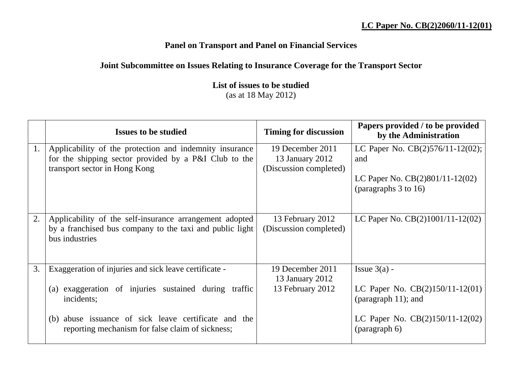## **Panel on Transport and Panel on Financial Services**

## **Joint Subcommittee on Issues Relating to Insurance Coverage for the Transport Sector**

**List of issues to be studied** (as at 18 May 2012)

|    | <b>Issues to be studied</b>                              | <b>Timing for discussion</b> | Papers provided / to be provided<br>by the Administration |
|----|----------------------------------------------------------|------------------------------|-----------------------------------------------------------|
| 1. | Applicability of the protection and indemnity insurance  | 19 December 2011             | LC Paper No. $CB(2)576/11-12(02)$ ;                       |
|    | for the shipping sector provided by a P&I Club to the    | 13 January 2012              | and                                                       |
|    | transport sector in Hong Kong                            | (Discussion completed)       |                                                           |
|    |                                                          |                              | LC Paper No. CB(2)801/11-12(02)                           |
|    |                                                          |                              | (paragraphs 3 to 16)                                      |
|    |                                                          |                              |                                                           |
| 2. | Applicability of the self-insurance arrangement adopted  | 13 February 2012             | LC Paper No. $CB(2)1001/11-12(02)$                        |
|    | by a franchised bus company to the taxi and public light | (Discussion completed)       |                                                           |
|    | bus industries                                           |                              |                                                           |
|    |                                                          |                              |                                                           |
| 3. | Exaggeration of injuries and sick leave certificate -    | 19 December 2011             | Issue $3(a)$ -                                            |
|    |                                                          | 13 January 2012              |                                                           |
|    | exaggeration of injuries sustained during traffic<br>(a) | 13 February 2012             | LC Paper No. $CB(2)150/11-12(01)$                         |
|    | incidents;                                               |                              | (paragraph $11$ ); and                                    |
|    | (b) abuse issuance of sick leave certificate and the     |                              | LC Paper No. $CB(2)150/11-12(02)$                         |
|    | reporting mechanism for false claim of sickness;         |                              | (paragraph 6)                                             |
|    |                                                          |                              |                                                           |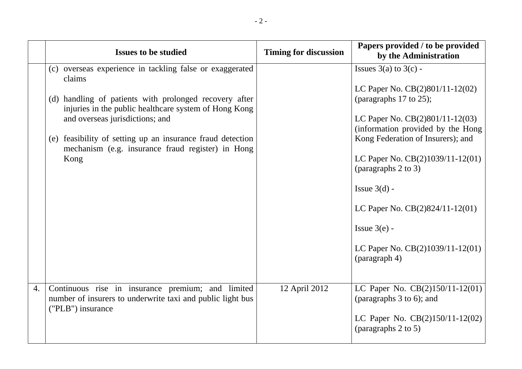|    | <b>Issues to be studied</b>                                                                                                                                                                                                                                                                                                                         | <b>Timing for discussion</b> | Papers provided / to be provided<br>by the Administration                                                                                                                                                                                                                                                                                                                                          |
|----|-----------------------------------------------------------------------------------------------------------------------------------------------------------------------------------------------------------------------------------------------------------------------------------------------------------------------------------------------------|------------------------------|----------------------------------------------------------------------------------------------------------------------------------------------------------------------------------------------------------------------------------------------------------------------------------------------------------------------------------------------------------------------------------------------------|
|    | (c) overseas experience in tackling false or exaggerated<br>claims<br>(d) handling of patients with prolonged recovery after<br>injuries in the public healthcare system of Hong Kong<br>and overseas jurisdictions; and<br>(e) feasibility of setting up an insurance fraud detection<br>mechanism (e.g. insurance fraud register) in Hong<br>Kong |                              | Issues $3(a)$ to $3(c)$ -<br>LC Paper No. CB(2)801/11-12(02)<br>(paragraphs 17 to 25);<br>LC Paper No. $CB(2)801/11-12(03)$<br>(information provided by the Hong<br>Kong Federation of Insurers); and<br>LC Paper No. $CB(2)1039/11-12(01)$<br>(paragraphs 2 to 3)<br>Issue $3(d)$ -<br>LC Paper No. $CB(2)824/11-12(01)$<br>Issue $3(e)$ -<br>LC Paper No. $CB(2)1039/11-12(01)$<br>(paragraph 4) |
| 4. | Continuous rise in insurance premium; and limited<br>number of insurers to underwrite taxi and public light bus<br>("PLB") insurance                                                                                                                                                                                                                | 12 April 2012                | LC Paper No. CB(2)150/11-12(01)<br>(paragraphs 3 to 6); and<br>LC Paper No. $CB(2)150/11-12(02)$<br>(paragraphs 2 to 5)                                                                                                                                                                                                                                                                            |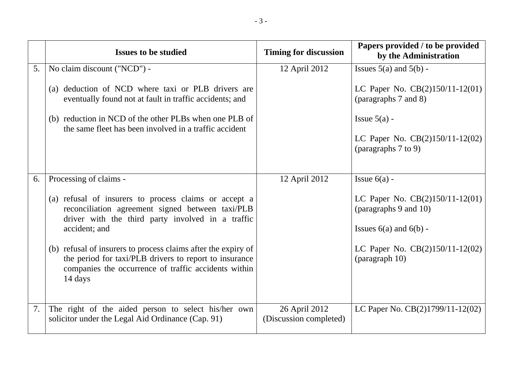|    | <b>Issues to be studied</b>                                                                                                                                                                | <b>Timing for discussion</b>            | Papers provided / to be provided<br>by the Administration  |
|----|--------------------------------------------------------------------------------------------------------------------------------------------------------------------------------------------|-----------------------------------------|------------------------------------------------------------|
| 5. | No claim discount ("NCD") -                                                                                                                                                                | 12 April 2012                           | Issues $5(a)$ and $5(b)$ -                                 |
|    | (a) deduction of NCD where taxi or PLB drivers are<br>eventually found not at fault in traffic accidents; and                                                                              |                                         | LC Paper No. $CB(2)150/11-12(01)$<br>(paragraphs 7 and 8)  |
|    | (b) reduction in NCD of the other PLBs when one PLB of<br>the same fleet has been involved in a traffic accident                                                                           |                                         | Issue $5(a)$ -                                             |
|    |                                                                                                                                                                                            |                                         | LC Paper No. $CB(2)150/11-12(02)$<br>(paragraphs 7 to 9)   |
| 6. | Processing of claims -                                                                                                                                                                     | 12 April 2012                           | Issue $6(a)$ -                                             |
|    | (a) refusal of insurers to process claims or accept a<br>reconciliation agreement signed between taxi/PLB<br>driver with the third party involved in a traffic                             |                                         | LC Paper No. $CB(2)150/11-12(01)$<br>(paragraphs 9 and 10) |
|    | accident; and                                                                                                                                                                              |                                         | Issues $6(a)$ and $6(b)$ -                                 |
|    | (b) refusal of insurers to process claims after the expiry of<br>the period for taxi/PLB drivers to report to insurance<br>companies the occurrence of traffic accidents within<br>14 days |                                         | LC Paper No. $CB(2)150/11-12(02)$<br>(paragraph 10)        |
| 7. | The right of the aided person to select his/her own<br>solicitor under the Legal Aid Ordinance (Cap. 91)                                                                                   | 26 April 2012<br>(Discussion completed) | LC Paper No. CB(2)1799/11-12(02)                           |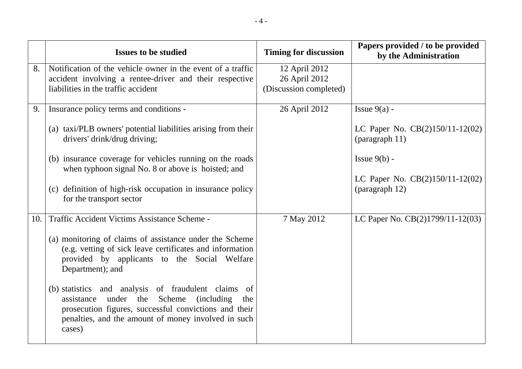|     | <b>Issues to be studied</b>                                                                                                                                                                                                                                                                                                                                                                                                                                                         | <b>Timing for discussion</b>                             | Papers provided / to be provided<br>by the Administration                                                                                  |
|-----|-------------------------------------------------------------------------------------------------------------------------------------------------------------------------------------------------------------------------------------------------------------------------------------------------------------------------------------------------------------------------------------------------------------------------------------------------------------------------------------|----------------------------------------------------------|--------------------------------------------------------------------------------------------------------------------------------------------|
| 8.  | Notification of the vehicle owner in the event of a traffic<br>accident involving a rentee-driver and their respective<br>liabilities in the traffic accident                                                                                                                                                                                                                                                                                                                       | 12 April 2012<br>26 April 2012<br>(Discussion completed) |                                                                                                                                            |
| 9.  | Insurance policy terms and conditions -<br>(a) taxi/PLB owners' potential liabilities arising from their<br>drivers' drink/drug driving;<br>(b) insurance coverage for vehicles running on the roads<br>when typhoon signal No. 8 or above is hoisted; and<br>(c) definition of high-risk occupation in insurance policy<br>for the transport sector                                                                                                                                | 26 April 2012                                            | Issue $9(a)$ -<br>LC Paper No. CB(2)150/11-12(02)<br>(paragraph 11)<br>Issue $9(b)$ -<br>LC Paper No. CB(2)150/11-12(02)<br>(paragraph 12) |
| 10. | Traffic Accident Victims Assistance Scheme -<br>(a) monitoring of claims of assistance under the Scheme<br>(e.g. vetting of sick leave certificates and information<br>provided by applicants to the Social Welfare<br>Department); and<br>(b) statistics and analysis of fraudulent claims of<br>Scheme<br>(including)<br>under the<br>assistance<br>the<br>prosecution figures, successful convictions and their<br>penalties, and the amount of money involved in such<br>cases) | 7 May 2012                                               | LC Paper No. CB(2)1799/11-12(03)                                                                                                           |